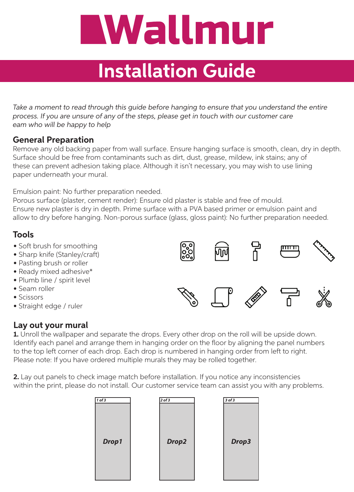# Wallmur

# **Installation Guide**

*Take a moment to read through this guide before hanging to ensure that you understand the entire process. If you are unsure of any of the steps, please get in touch with our customer care eam who will be happy to help*

#### **General Preparation**

Remove any old backing paper from wall surface. Ensure hanging surface is smooth, clean, dry in depth. Surface should be free from contaminants such as dirt, dust, grease, mildew, ink stains; any of these can prevent adhesion taking place. Although it isn't necessary, you may wish to use lining paper underneath your mural.

Emulsion paint: No further preparation needed.

Porous surface (plaster, cement render): Ensure old plaster is stable and free of mould. Ensure new plaster is dry in depth. Prime surface with a PVA based primer or emulsion paint and allow to dry before hanging. Non-porous surface (glass, gloss paint): No further preparation needed.

### **Tools**

- Soft brush for smoothing
- Sharp knife (Stanley/craft)
- Pasting brush or roller
- Ready mixed adhesive\*
- Plumb line / spirit level
- Seam roller
- Scissors
- Straight edge / ruler

### **Lay out your mural**

**1.** Unroll the wallpaper and separate the drops. Every other drop on the roll will be upside down. Identify each panel and arrange them in hanging order on the floor by aligning the panel numbers

to the top left corner of each drop. Each drop is numbered in hanging order from left to right. Please note: If you have ordered multiple murals they may be rolled together.

**2.** Lay out panels to check image match before installation. If you notice any inconsistencies within the print, please do not install. Our customer service team can assist you with any problems.